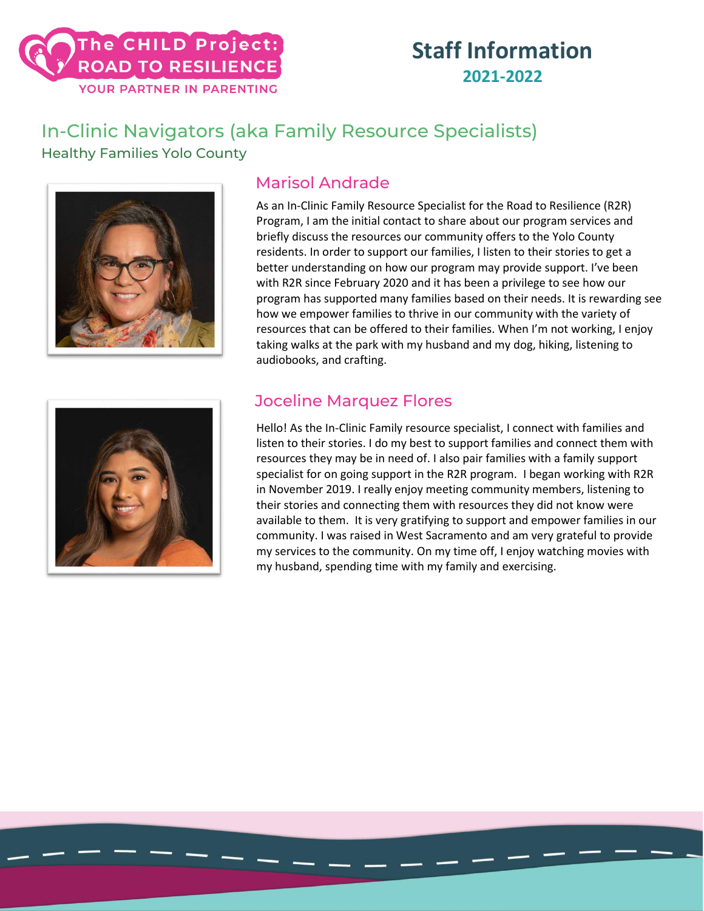### The CHILD Project: **ROAD TO RESILIENCE** YOUR PARTNER IN PARENTING

### **Staff Information 2021-2022**

### In-Clinic Navigators (aka Family Resource Specialists) Healthy Families Yolo County



#### Marisol Andrade

As an In-Clinic Family Resource Specialist for the Road to Resilience (R2R) Program, I am the initial contact to share about our program services and briefly discuss the resources our community offers to the Yolo County residents. In order to support our families, I listen to their stories to get a better understanding on how our program may provide support. I've been with R2R since February 2020 and it has been a privilege to see how our program has supported many families based on their needs. It is rewarding see how we empower families to thrive in our community with the variety of resources that can be offered to their families. When I'm not working, I enjoy taking walks at the park with my husband and my dog, hiking, listening to audiobooks, and crafting.



#### Joceline Marquez Flores

Hello! As the In-Clinic Family resource specialist, I connect with families and listen to their stories. I do my best to support families and connect them with resources they may be in need of. I also pair families with a family support specialist for on going support in the R2R program. I began working with R2R in November 2019. I really enjoy meeting community members, listening to their stories and connecting them with resources they did not know were available to them. It is very gratifying to support and empower families in our community. I was raised in West Sacramento and am very grateful to provide my services to the community. On my time off, I enjoy watching movies with my husband, spending time with my family and exercising.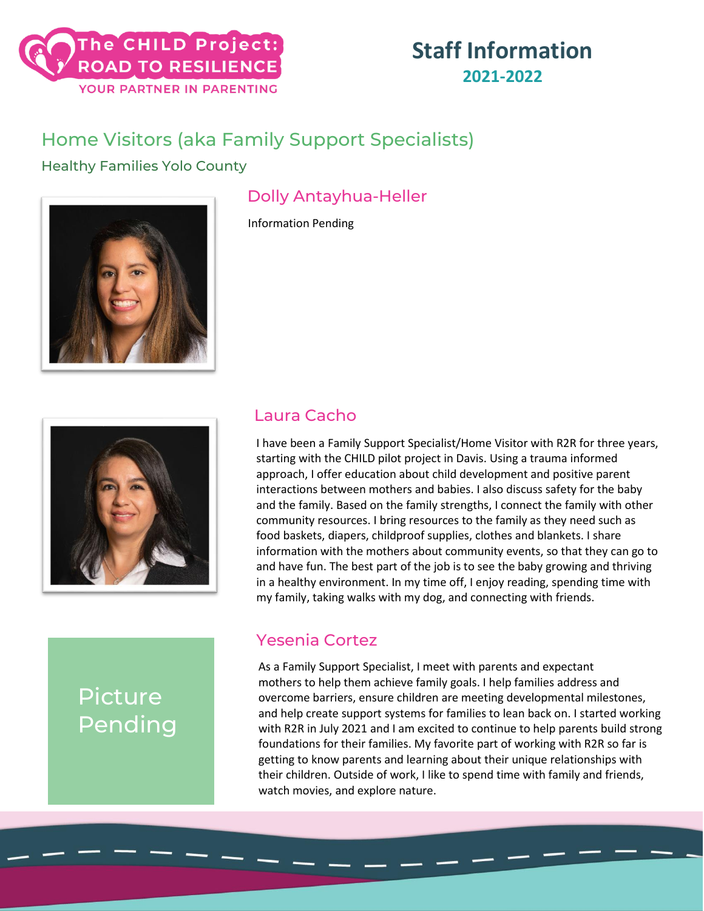

### Home Visitors (aka Family Support Specialists)

Healthy Families Yolo County



### Dolly Antayhua-Heller

Information Pending



## Picture Pending

#### Laura Cacho

I have been a Family Support Specialist/Home Visitor with R2R for three years, starting with the CHILD pilot project in Davis. Using a trauma informed approach, I offer education about child development and positive parent interactions between mothers and babies. I also discuss safety for the baby and the family. Based on the family strengths, I connect the family with other community resources. I bring resources to the family as they need such as food baskets, diapers, childproof supplies, clothes and blankets. I share information with the mothers about community events, so that they can go to and have fun. The best part of the job is to see the baby growing and thriving in a healthy environment. In my time off, I enjoy reading, spending time with my family, taking walks with my dog, and connecting with friends.

#### Yesenia Cortez

As a Family Support Specialist, I meet with parents and expectant mothers to help them achieve family goals. I help families address and overcome barriers, ensure children are meeting developmental milestones, and help create support systems for families to lean back on. I started working with R2R in July 2021 and I am excited to continue to help parents build strong foundations for their families. My favorite part of working with R2R so far is getting to know parents and learning about their unique relationships with their children. Outside of work, I like to spend time with family and friends, watch movies, and explore nature.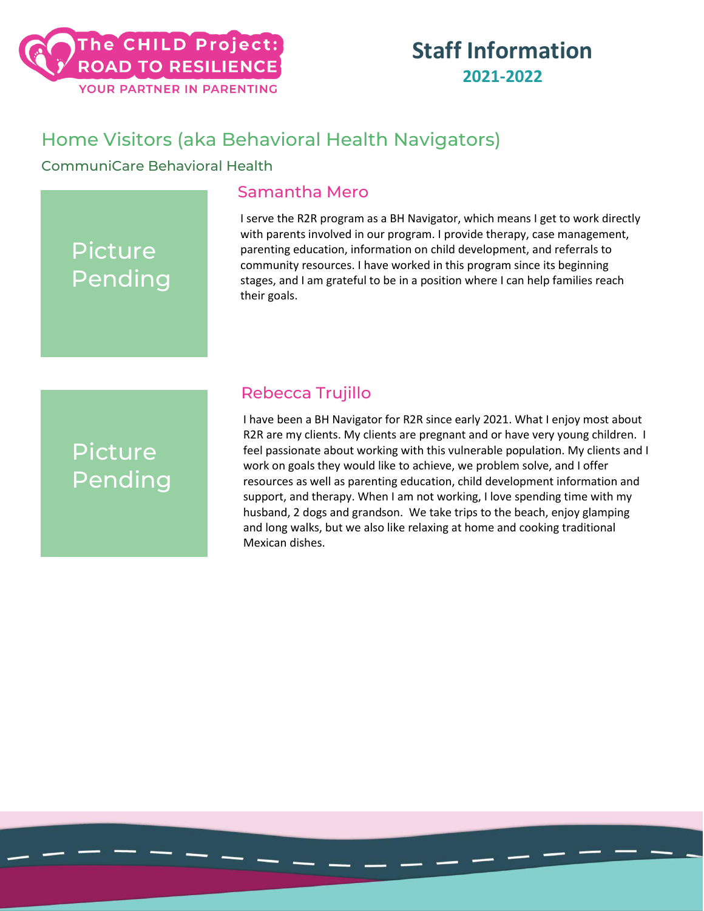### Home Visitors (aka Behavioral Health Navigators)

CommuniCare Behavioral Health

#### Samantha Mero

I serve the R2R program as a BH Navigator, which means I get to work directly with parents involved in our program. I provide therapy, case management, parenting education, information on child development, and referrals to community resources. I have worked in this program since its beginning stages, and I am grateful to be in a position where I can help families reach their goals.

# Picture Pending

Picture

Pending

#### Rebecca Trujillo

I have been a BH Navigator for R2R since early 2021. What I enjoy most about R2R are my clients. My clients are pregnant and or have very young children. I feel passionate about working with this vulnerable population. My clients and I work on goals they would like to achieve, we problem solve, and I offer resources as well as parenting education, child development information and support, and therapy. When I am not working, I love spending time with my husband, 2 dogs and grandson. We take trips to the beach, enjoy glamping and long walks, but we also like relaxing at home and cooking traditional Mexican dishes.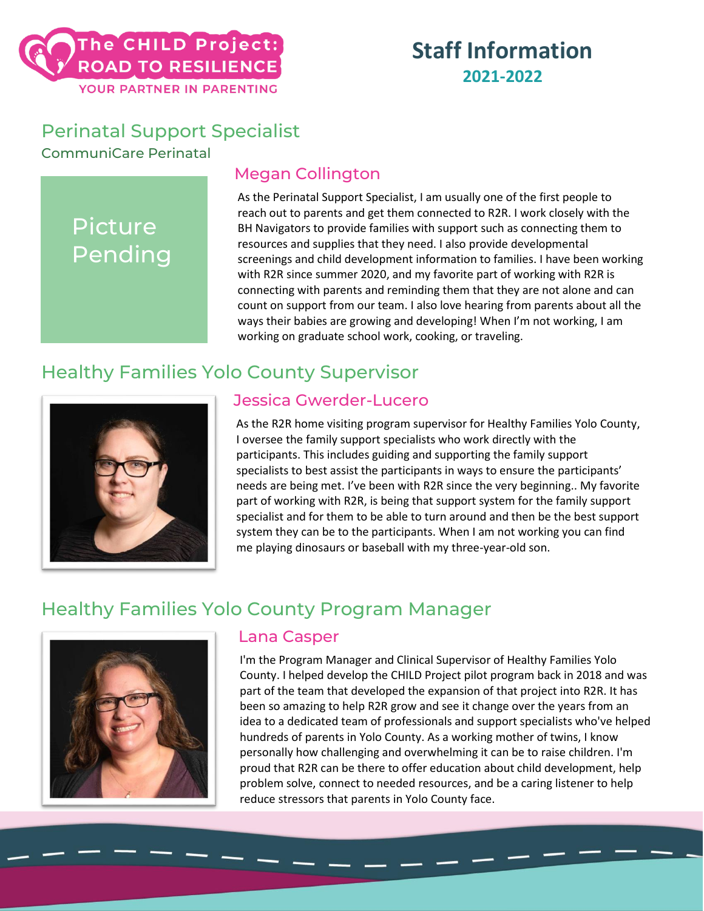### Perinatal Support Specialist

CommuniCare Perinatal

# Picture Pending

### Megan Collington

As the Perinatal Support Specialist, I am usually one of the first people to reach out to parents and get them connected to R2R. I work closely with the BH Navigators to provide families with support such as connecting them to resources and supplies that they need. I also provide developmental screenings and child development information to families. I have been working with R2R since summer 2020, and my favorite part of working with R2R is connecting with parents and reminding them that they are not alone and can count on support from our team. I also love hearing from parents about all the ways their babies are growing and developing! When I'm not working, I am working on graduate school work, cooking, or traveling.

### Healthy Families Yolo County Supervisor



#### Jessica Gwerder-Lucero

As the R2R home visiting program supervisor for Healthy Families Yolo County, I oversee the family support specialists who work directly with the participants. This includes guiding and supporting the family support specialists to best assist the participants in ways to ensure the participants' needs are being met. I've been with R2R since the very beginning.. My favorite part of working with R2R, is being that support system for the family support specialist and for them to be able to turn around and then be the best support system they can be to the participants. When I am not working you can find me playing dinosaurs or baseball with my three-year-old son.

### Healthy Families Yolo County Program Manager



#### Lana Casper

I'm the Program Manager and Clinical Supervisor of Healthy Families Yolo County. I helped develop the CHILD Project pilot program back in 2018 and was part of the team that developed the expansion of that project into R2R. It has been so amazing to help R2R grow and see it change over the years from an idea to a dedicated team of professionals and support specialists who've helped hundreds of parents in Yolo County. As a working mother of twins, I know personally how challenging and overwhelming it can be to raise children. I'm proud that R2R can be there to offer education about child development, help problem solve, connect to needed resources, and be a caring listener to help reduce stressors that parents in Yolo County face.